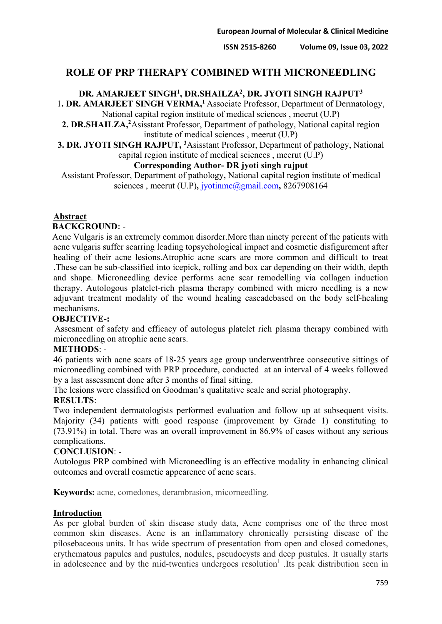**ISSN 2515-8260 Volume 09, Issue 03, 2022**

# **ROLE OF PRP THERAPY COMBINED WITH MICRONEEDLING**

# **DR. AMARJEET SINGH1, DR.SHAILZA2, DR. JYOTI SINGH RAJPUT3**

1. DR. AMARJEET SINGH VERMA,<sup>1</sup> Associate Professor, Department of Dermatology, National capital region institute of medical sciences , meerut (U.P)

2. DR.SHAILZA,<sup>2</sup>Asisstant Professor, Department of pathology, National capital region institute of medical sciences , meerut (U.P)

**3. DR. JYOTI SINGH RAJPUT, 3**Asisstant Professor, Department of pathology, National

#### capital region institute of medical sciences , meerut (U.P) **Corresponding Author- DR jyoti singh rajput**

Assistant Professor, Department of pathology**,** National capital region institute of medical sciences, meerut (U.P), *[jyotinmc@gmail.com](mailto:jyotinmc@gmail.com)*, 8267908164

## **Abstract**

#### **BACKGROUND:** -

Acne Vulgaris is an extremely common disorder.More than ninety percent of the patients with acne vulgaris suffer scarring leading topsychological impact and cosmetic disfigurement after healing of their acne lesions.Atrophic acne scars are more common and difficult to treat .These can be sub-classified into icepick, rolling and box car depending on their width, depth and shape. Microneedling device performs acne scar remodelling via collagen induction therapy. Autologous platelet-rich plasma therapy combined with micro needling is a new adjuvant treatment modality of the wound healing cascadebased on the body self-healing mechanisms.

#### **OBJECTIVE-:**

Assesment of safety and efficacy of autologus platelet rich plasma therapy combined with microneedling on atrophic acne scars.

#### **METHODS**: -

46 patients with acne scars of 18-25 years age group underwentthree consecutive sittings of microneedling combined with PRP procedure, conducted at an interval of 4 weeks followed by a last assessment done after 3 months of final sitting.

The lesions were classified on Goodman's qualitative scale and serial photography.

#### **RESULTS**:

Two independent dermatologists performed evaluation and follow up at subsequent visits. Majority (34) patients with good response (improvement by Grade 1) constituting to (73.91%) in total. There was an overall improvement in 86.9% of cases without any serious complications.

#### **CONCLUSION**: -

Autologus PRP combined with Microneedling is an effective modality in enhancing clinical outcomes and overall cosmetic appearence of acne scars.

**Keywords:** acne, comedones, derambrasion, micorneedling.

#### **Introduction**

As per global burden of skin disease study data, Acne comprises one of the three most common skin diseases. Acne is an inflammatory chronically persisting disease of the pilosebaceous units. It has wide spectrum of presentation from open and closed comedones, erythematous papules and pustules, nodules, pseudocysts and deep pustules. It usually starts in adolescence and by the mid-twenties undergoes resolution<sup>1</sup>. Its peak distribution seen in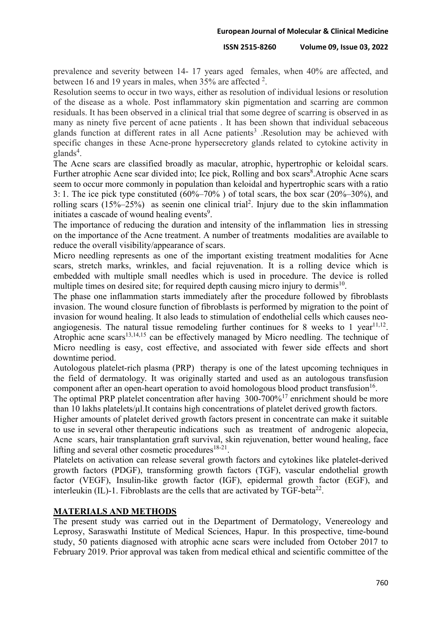prevalence and severity between 14- 17 years aged females, when 40% are affected, and between 16 and 19 years in males, when  $35%$  are affected  $2$ .

Resolution seems to occur in two ways, either as resolution of individual lesions or resolution of the disease as a whole. Post inflammatory skin pigmentation and scarring are common residuals. It has been observed in a clinical trial that some degree of scarring is observed in as many as ninety five percent of acne patients . It has been shown that individual sebaceous glands function at different rates in all Acne patients<sup>3</sup>. Resolution may be achieved with specific changes in these Acne-prone hypersecretory glands related to cytokine activity in glands<sup>4</sup>.

The Acne scars are classified broadly as macular, atrophic, hypertrophic or keloidal scars. Further atrophic Acne scar divided into; Ice pick, Rolling and box scars<sup>8</sup>. Atrophic Acne scars seem to occur more commonly in population than keloidal and hypertrophic scars with a ratio 3: 1. The ice pick type constituted (60%–70% ) of total scars, the box scar (20%–30%), and rolling scars  $(15\% - 25\%)$  as seenin one clinical trial<sup>2</sup>. Injury due to the skin inflammation initiates a cascade of wound healing events<sup>9</sup>.

The importance of reducing the duration and intensity of the inflammation lies in stressing on the importance of the Acne treatment. A number of treatments modalities are available to reduce the overall visibility/appearance of scars.

Micro needling represents as one of the important existing treatment modalities for Acne scars, stretch marks, wrinkles, and facial rejuvenation. It is a rolling device which is embedded with multiple small needles which is used in procedure. The device is rolled multiple times on desired site; for required depth causing micro injury to dermis<sup>10</sup>.

The phase one inflammation starts immediately after the procedure followed by fibroblasts invasion. The wound closure function of fibroblasts is performed by migration to the point of invasion for wound healing. It also leads to stimulation of endothelial cells which causes neoangiogenesis. The natural tissue remodeling further continues for 8 weeks to 1 year<sup>11,12</sup>. Atrophic acne scars<sup>13,14,15</sup> can be effectively managed by Micro needling. The technique of Micro needling is easy, cost effective, and associated with fewer side effects and short downtime period.

Autologous platelet-rich plasma (PRP) therapy is one of the latest upcoming techniques in the field of dermatology. It was originally started and used as an autologous transfusion component after an open-heart operation to avoid homologous blood product transfusion  $16$ .

The optimal PRP platelet concentration after having 300-700%<sup>17</sup> enrichment should be more than 10 lakhs platelets/μl.It contains high concentrations of platelet derived growth factors.

Higher amounts of platelet derived growth factors present in concentrate can make it suitable to use in several other therapeutic indications such as treatment of androgenic alopecia, Acne scars, hair transplantation graft survival, skin rejuvenation, better wound healing, face lifting and several other cosmetic procedures<sup>18-21</sup>.

Platelets on activation can release several growth factors and cytokines like platelet-derived growth factors (PDGF), transforming growth factors (TGF), vascular endothelial growth factor (VEGF), Insulin-like growth factor (IGF), epidermal growth factor (EGF), and interleukin (IL)-1. Fibroblasts are the cells that are activated by  $TGF-beta^{22}$ .

# **MATERIALS AND METHODS**

The present study was carried out in the Department of Dermatology, Venereology and Leprosy, Saraswathi Institute of Medical Sciences, Hapur. In this prospective, time-bound study, 50 patients diagnosed with atrophic acne scars were included from October 2017 to February 2019. Prior approval was taken from medical ethical and scientific committee of the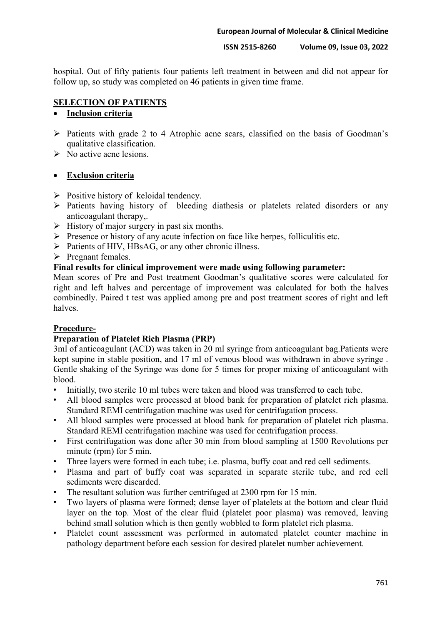#### **ISSN 2515-8260 Volume 09, Issue 03, 2022**

hospital. Out of fifty patients four patients left treatment in between and did not appear for follow up, so study was completed on 46 patients in given time frame.

#### **SELECTION OF PATIENTS**

## ∑ **Inclusion criteria**

- $\triangleright$  Patients with grade 2 to 4 Atrophic acne scars, classified on the basis of Goodman's qualitative classification.
- $\triangleright$  No active acne lesions.

#### ∑ **Exclusion criteria**

- $\triangleright$  Positive history of keloidal tendency.
- ÿ Patients having history of bleeding diathesis or platelets related disorders or any anticoagulant therapy,.
- $\triangleright$  History of major surgery in past six months.
- $\triangleright$  Presence or history of any acute infection on face like herpes, folliculitis etc.
- $\triangleright$  Patients of HIV, HBsAG, or any other chronic illness.
- $\triangleright$  Pregnant females.

#### **Final results for clinical improvement were made using following parameter:**

Mean scores of Pre and Post treatment Goodman's qualitative scores were calculated for right and left halves and percentage of improvement was calculated for both the halves combinedly. Paired t test was applied among pre and post treatment scores of right and left halves.

#### **Procedure-**

## **Preparation of Platelet Rich Plasma (PRP)**

3ml of anticoagulant (ACD) was taken in 20 ml syringe from anticoagulant bag.Patients were kept supine in stable position, and 17 ml of venous blood was withdrawn in above syringe . Gentle shaking of the Syringe was done for 5 times for proper mixing of anticoagulant with blood.

- Initially, two sterile 10 ml tubes were taken and blood was transferred to each tube.
- All blood samples were processed at blood bank for preparation of platelet rich plasma. Standard REMI centrifugation machine was used for centrifugation process.
- All blood samples were processed at blood bank for preparation of platelet rich plasma. Standard REMI centrifugation machine was used for centrifugation process.
- First centrifugation was done after 30 min from blood sampling at 1500 Revolutions per minute (rpm) for 5 min.
- Three layers were formed in each tube; i.e. plasma, buffy coat and red cell sediments.
- Plasma and part of buffy coat was separated in separate sterile tube, and red cell sediments were discarded.
- The resultant solution was further centrifuged at 2300 rpm for 15 min.
- Two layers of plasma were formed; dense layer of platelets at the bottom and clear fluid layer on the top. Most of the clear fluid (platelet poor plasma) was removed, leaving behind small solution which is then gently wobbled to form platelet rich plasma.
- Platelet count assessment was performed in automated platelet counter machine in pathology department before each session for desired platelet number achievement.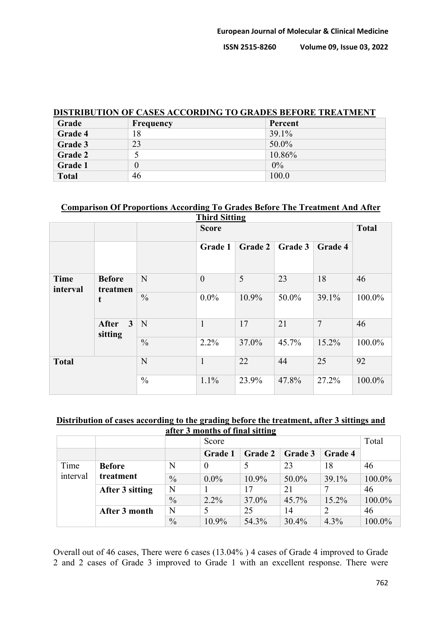**ISSN 2515-8260 Volume 09, Issue 03, 2022**

#### **DISTRIBUTION OF CASES ACCORDING TO GRADES BEFORE TREATMENT**

| Grade          | <b>Frequency</b> | Percent  |
|----------------|------------------|----------|
| <b>Grade 4</b> | 18               | $39.1\%$ |
| Grade 3        | 23               | $50.0\%$ |
| <b>Grade 2</b> |                  | 10.86%   |
| <b>Grade 1</b> |                  | $0\%$    |
| <b>Total</b>   | 46               | 100.0    |

# **Comparison Of Proportions According To Grades Before The Treatment And After**

| <b>Third Sitting</b>    |                                 |               |                |                |         |                |              |
|-------------------------|---------------------------------|---------------|----------------|----------------|---------|----------------|--------------|
|                         |                                 |               | <b>Score</b>   |                |         |                | <b>Total</b> |
|                         |                                 |               | Grade 1        | <b>Grade 2</b> | Grade 3 | Grade 4        |              |
| <b>Time</b><br>interval | <b>Before</b><br>treatmen       | N             | $\overline{0}$ | 5              | 23      | 18             | 46           |
|                         | t                               | $\frac{0}{0}$ | $0.0\%$        | 10.9%          | 50.0%   | 39.1%          | 100.0%       |
|                         | $3^{\circ}$<br>After<br>sitting | $\mathbf N$   | $\mathbf{1}$   | 17             | 21      | $\overline{7}$ | 46           |
|                         |                                 | $\frac{0}{0}$ | 2.2%           | 37.0%          | 45.7%   | 15.2%          | 100.0%       |
| <b>Total</b>            |                                 | N             | $\mathbf{1}$   | 22             | 44      | 25             | 92           |
|                         |                                 | $\frac{0}{0}$ | 1.1%           | 23.9%          | 47.8%   | 27.2%          | 100.0%       |

#### **Distribution of cases according to the grading before the treatment, after 3 sittings and after 3 months of final sitting**

|                  |                            |               | Score          |                |                |         | Total  |
|------------------|----------------------------|---------------|----------------|----------------|----------------|---------|--------|
|                  |                            |               | <b>Grade 1</b> | <b>Grade 2</b> | <b>Grade 3</b> | Grade 4 |        |
| Time<br>interval | <b>Before</b><br>treatment | N             | $\theta$       |                | 23             | 18      | 46     |
|                  |                            | $\frac{0}{0}$ | $0.0\%$        | 10.9%          | 50.0%          | 39.1%   | 100.0% |
|                  | After 3 sitting            | N             |                | 17             | 21             |         | 46     |
|                  |                            | $\frac{0}{0}$ | $2.2\%$        | 37.0%          | 45.7%          | 15.2%   | 100.0% |
|                  | After 3 month              | N             |                | 25             | 14             |         | 46     |
|                  |                            | $\frac{0}{0}$ | 10.9%          | 54.3%          | 30.4%          | 4.3%    | 100.0% |

Overall out of 46 cases, There were 6 cases (13.04% ) 4 cases of Grade 4 improved to Grade 2 and 2 cases of Grade 3 improved to Grade 1 with an excellent response. There were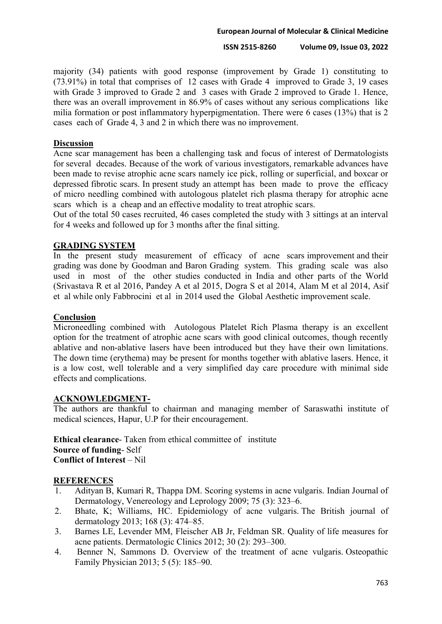#### **European Journal of Molecular & Clinical Medicine**

#### **ISSN 2515-8260 Volume 09, Issue 03, 2022**

majority (34) patients with good response (improvement by Grade 1) constituting to (73.91%) in total that comprises of 12 cases with Grade 4 improved to Grade 3, 19 cases with Grade 3 improved to Grade 2 and 3 cases with Grade 2 improved to Grade 1. Hence, there was an overall improvement in 86.9% of cases without any serious complications like milia formation or post inflammatory hyperpigmentation. There were 6 cases (13%) that is 2 cases each of Grade 4, 3 and 2 in which there was no improvement.

#### **Discussion**

Acne scar management has been a challenging task and focus of interest of Dermatologists for several decades. Because of the work of various investigators, remarkable advances have been made to revise atrophic acne scars namely ice pick, rolling or superficial, and boxcar or depressed fibrotic scars. In present study an attempt has been made to prove the efficacy of micro needling combined with autologous platelet rich plasma therapy for atrophic acne scars which is a cheap and an effective modality to treat atrophic scars.

Out of the total 50 cases recruited, 46 cases completed the study with 3 sittings at an interval for 4 weeks and followed up for 3 months after the final sitting.

## **GRADING SYSTEM**

In the present study measurement of efficacy of acne scars improvement and their grading was done by Goodman and Baron Grading system. This grading scale was also used in most of the other studies conducted in India and other parts of the World (Srivastava R et al 2016, Pandey A et al 2015, Dogra S et al 2014, Alam M et al 2014, Asif et al while only Fabbrocini et al in 2014 used the Global Aesthetic improvement scale.

#### **Conclusion**

Microneedling combined with Autologous Platelet Rich Plasma therapy is an excellent option for the treatment of atrophic acne scars with good clinical outcomes, though recently ablative and non-ablative lasers have been introduced but they have their own limitations. The down time (erythema) may be present for months together with ablative lasers. Hence, it is a low cost, well tolerable and a very simplified day care procedure with minimal side effects and complications.

#### **ACKNOWLEDGMENT-**

The authors are thankful to chairman and managing member of Saraswathi institute of medical sciences, Hapur, U.P for their encouragement.

**Ethical clearance**- Taken from ethical committee of institute **Source of funding**- Self **Conflict of Interest** – Nil

#### **REFERENCES**

- 1. Adityan B, Kumari R, Thappa DM. Scoring systems in acne vulgaris. Indian Journal of Dermatology, Venereology and Leprology 2009; 75 (3): 323–6.
- 2. Bhate, K; Williams, HC. Epidemiology of acne vulgaris. The British journal of dermatology 2013; 168 (3): 474–85.
- 3. Barnes LE, Levender MM, Fleischer AB Jr, Feldman SR. Quality of life measures for acne patients. Dermatologic Clinics 2012; 30 (2): 293–300.
- 4. Benner N, Sammons D. Overview of the treatment of acne vulgaris. Osteopathic Family Physician 2013; 5 (5): 185–90.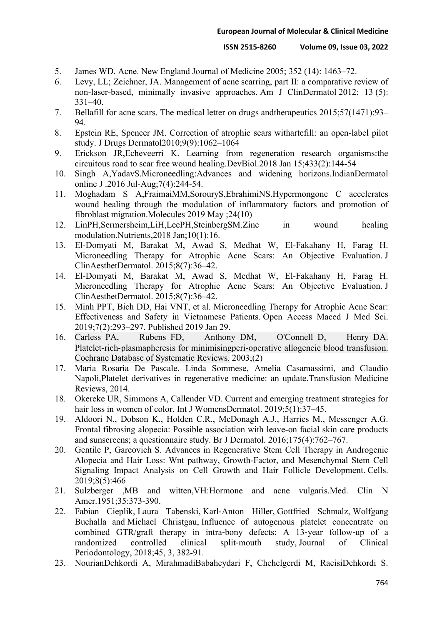- 5. James WD. Acne. New England Journal of Medicine 2005; 352 (14): 1463–72.
- 6. Levy, LL; Zeichner, JA. Management of acne scarring, part II: a comparative review of non-laser-based, minimally invasive approaches. Am J ClinDermatol 2012; 13 (5): 331–40.
- 7. Bellafill for acne scars. The medical letter on drugs andtherapeutics 2015;57(1471):93– 94.
- 8. Epstein RE, Spencer JM. Correction of atrophic scars withartefill: an open-label pilot study. J Drugs Dermatol2010;9(9):1062–1064
- 9. Erickson JR,Echeveerri K. Learning from regeneration research organisms:the circuitous road to scar free wound healing.DevBiol.2018 Jan 15;433(2):144-54
- 10. Singh A,YadavS.Microneedling:Advances and widening horizons.IndianDermatol online J .2016 Jul-Aug;7(4):244-54.
- 11. Moghadam S A,FraimaiMM,SorouryS,EbrahimiNS.Hypermongone C accelerates wound healing through the modulation of inflammatory factors and promotion of fibroblast migration.Molecules 2019 May ;24(10)
- 12. LinPH,Sermersheim,LiH,LeePH,SteinbergSM.Zinc in wound healing modulation.Nutrients,2018 Jan;10(1):16.
- 13. El-Domyati M, Barakat M, Awad S, Medhat W, El-Fakahany H, Farag H. Microneedling Therapy for Atrophic Acne Scars: An Objective Evaluation. J ClinAesthetDermatol. 2015;8(7):36–42.
- 14. El-Domyati M, Barakat M, Awad S, Medhat W, El-Fakahany H, Farag H. Microneedling Therapy for Atrophic Acne Scars: An Objective Evaluation. J ClinAesthetDermatol. 2015;8(7):36–42.
- 15. Minh PPT, Bich DD, Hai VNT, et al. Microneedling Therapy for Atrophic Acne Scar: Effectiveness and Safety in Vietnamese Patients. Open Access Maced J Med Sci. 2019;7(2):293–297. Published 2019 Jan 29.
- 16. Carless PA, Rubens FD, Anthony DM, O'Connell D, Henry DA. Platelet-rich-plasmapheresis for minimisingperi-operative allogeneic blood transfusion. Cochrane Database of Systematic Reviews. 2003;(2)
- 17. Maria Rosaria De Pascale, Linda Sommese, Amelia Casamassimi, and Claudio Napoli,Platelet derivatives in regenerative medicine: an update.Transfusion Medicine Reviews, 2014.
- 18. Okereke UR, Simmons A, Callender VD. Current and emerging treatment strategies for hair loss in women of color. Int J WomensDermatol. 2019;5(1):37–45.
- 19. Aldoori N., Dobson K., Holden C.R., McDonagh A.J., Harries M., Messenger A.G. Frontal fibrosing alopecia: Possible association with leave-on facial skin care products and sunscreens; a questionnaire study. Br J Dermatol. 2016;175(4):762–767.
- 20. Gentile P, Garcovich S. Advances in Regenerative Stem Cell Therapy in Androgenic Alopecia and Hair Loss: Wnt pathway, Growth-Factor, and Mesenchymal Stem Cell Signaling Impact Analysis on Cell Growth and Hair Follicle Development. Cells. 2019;8(5):466
- 21. Sulzberger ,MB and witten,VH:Hormone and acne vulgaris.Med. Clin N Amer.1951;35:373-390.
- 22. Fabian Cieplik, Laura Tabenski, Karl-Anton Hiller, Gottfried Schmalz, Wolfgang Buchalla and Michael Christgau, Influence of autogenous platelet concentrate on combined GTR/graft therapy in intra-bony defects: A 13-year follow-up of a study, Journal Periodontology, 2018;45, 3, 382-91.
- 23. NourianDehkordi A, MirahmadiBabaheydari F, Chehelgerdi M, RaeisiDehkordi S.